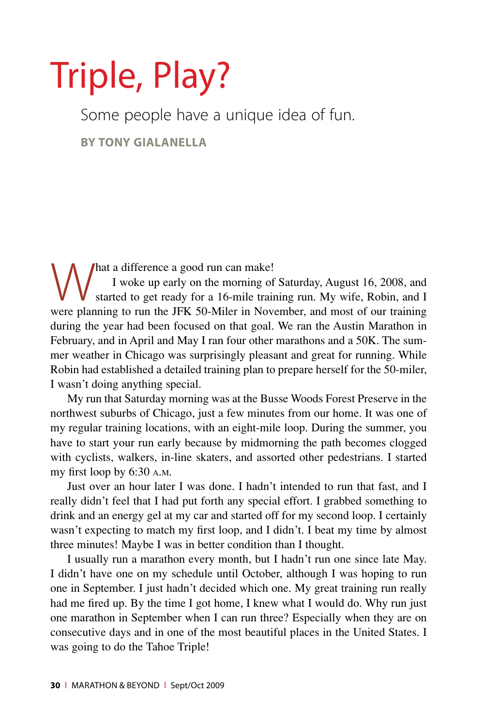# Triple, Play?

Some people have a unique idea of fun.

**by Tony Gialanella**

hat a difference a good run can make! I woke up early on the morning of Saturday, August 16, 2008, and started to get ready for a 16-mile training run. My wife, Robin, and I were planning to run the JFK 50-Miler in November, and most of our training during the year had been focused on that goal. We ran the Austin Marathon in February, and in April and May I ran four other marathons and a 50K. The summer weather in Chicago was surprisingly pleasant and great for running. While Robin had established a detailed training plan to prepare herself for the 50-miler, I wasn't doing anything special.

My run that Saturday morning was at the Busse Woods Forest Preserve in the northwest suburbs of Chicago, just a few minutes from our home. It was one of my regular training locations, with an eight-mile loop. During the summer, you have to start your run early because by midmorning the path becomes clogged with cyclists, walkers, in-line skaters, and assorted other pedestrians. I started my first loop by 6:30 a.m.

Just over an hour later I was done. I hadn't intended to run that fast, and I really didn't feel that I had put forth any special effort. I grabbed something to drink and an energy gel at my car and started off for my second loop. I certainly wasn't expecting to match my first loop, and I didn't. I beat my time by almost three minutes! Maybe I was in better condition than I thought.

I usually run a marathon every month, but I hadn't run one since late May. I didn't have one on my schedule until October, although I was hoping to run one in September. I just hadn't decided which one. My great training run really had me fired up. By the time I got home, I knew what I would do. Why run just one marathon in September when I can run three? Especially when they are on consecutive days and in one of the most beautiful places in the United States. I was going to do the Tahoe Triple!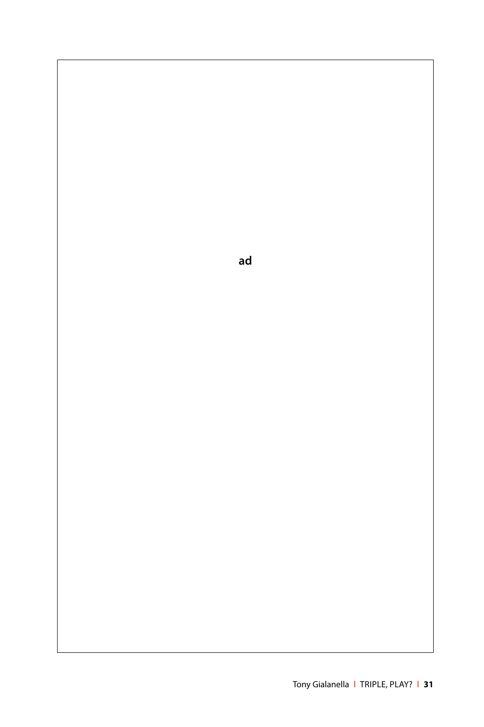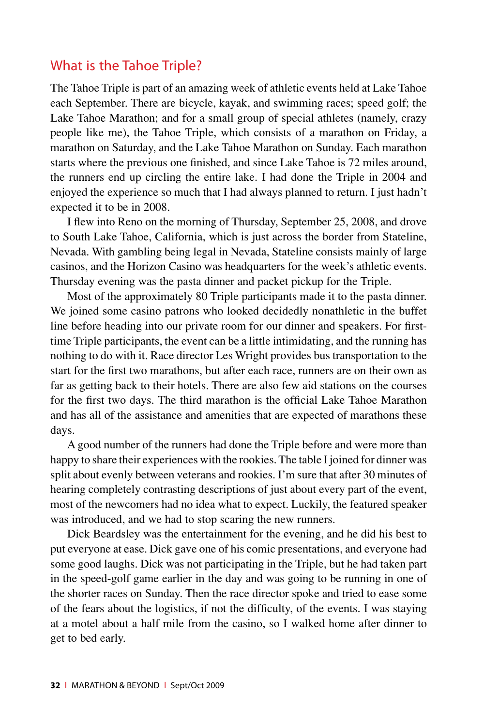# What is the Tahoe Triple?

The Tahoe Triple is part of an amazing week of athletic events held at Lake Tahoe each September. There are bicycle, kayak, and swimming races; speed golf; the Lake Tahoe Marathon; and for a small group of special athletes (namely, crazy people like me), the Tahoe Triple, which consists of a marathon on Friday, a marathon on Saturday, and the Lake Tahoe Marathon on Sunday. Each marathon starts where the previous one finished, and since Lake Tahoe is 72 miles around, the runners end up circling the entire lake. I had done the Triple in 2004 and enjoyed the experience so much that I had always planned to return. I just hadn't expected it to be in 2008.

I flew into Reno on the morning of Thursday, September 25, 2008, and drove to South Lake Tahoe, California, which is just across the border from Stateline, Nevada. With gambling being legal in Nevada, Stateline consists mainly of large casinos, and the Horizon Casino was headquarters for the week's athletic events. Thursday evening was the pasta dinner and packet pickup for the Triple.

Most of the approximately 80 Triple participants made it to the pasta dinner. We joined some casino patrons who looked decidedly nonathletic in the buffet line before heading into our private room for our dinner and speakers. For firsttime Triple participants, the event can be a little intimidating, and the running has nothing to do with it. Race director Les Wright provides bus transportation to the start for the first two marathons, but after each race, runners are on their own as far as getting back to their hotels. There are also few aid stations on the courses for the first two days. The third marathon is the official Lake Tahoe Marathon and has all of the assistance and amenities that are expected of marathons these days.

A good number of the runners had done the Triple before and were more than happy to share their experiences with the rookies. The table I joined for dinner was split about evenly between veterans and rookies. I'm sure that after 30 minutes of hearing completely contrasting descriptions of just about every part of the event, most of the newcomers had no idea what to expect. Luckily, the featured speaker was introduced, and we had to stop scaring the new runners.

Dick Beardsley was the entertainment for the evening, and he did his best to put everyone at ease. Dick gave one of his comic presentations, and everyone had some good laughs. Dick was not participating in the Triple, but he had taken part in the speed-golf game earlier in the day and was going to be running in one of the shorter races on Sunday. Then the race director spoke and tried to ease some of the fears about the logistics, if not the difficulty, of the events. I was staying at a motel about a half mile from the casino, so I walked home after dinner to get to bed early.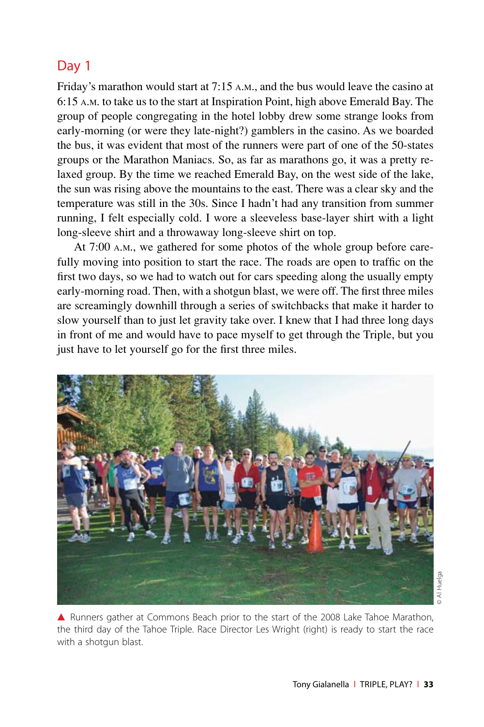# Day 1

Friday's marathon would start at 7:15 a.m., and the bus would leave the casino at 6:15 a.m. to take us to the start at Inspiration Point, high above Emerald Bay. The group of people congregating in the hotel lobby drew some strange looks from early-morning (or were they late-night?) gamblers in the casino. As we boarded the bus, it was evident that most of the runners were part of one of the 50-states groups or the Marathon Maniacs. So, as far as marathons go, it was a pretty relaxed group. By the time we reached Emerald Bay, on the west side of the lake, the sun was rising above the mountains to the east. There was a clear sky and the temperature was still in the 30s. Since I hadn't had any transition from summer running, I felt especially cold. I wore a sleeveless base-layer shirt with a light long-sleeve shirt and a throwaway long-sleeve shirt on top.

At 7:00 a.m., we gathered for some photos of the whole group before carefully moving into position to start the race. The roads are open to traffic on the first two days, so we had to watch out for cars speeding along the usually empty early-morning road. Then, with a shotgun blast, we were off. The first three miles are screamingly downhill through a series of switchbacks that make it harder to slow yourself than to just let gravity take over. I knew that I had three long days in front of me and would have to pace myself to get through the Triple, but you just have to let yourself go for the first three miles.



▲ Runners gather at Commons Beach prior to the start of the 2008 Lake Tahoe Marathon, the third day of the Tahoe Triple. Race Director Les Wright (right) is ready to start the race with a shotgun blast.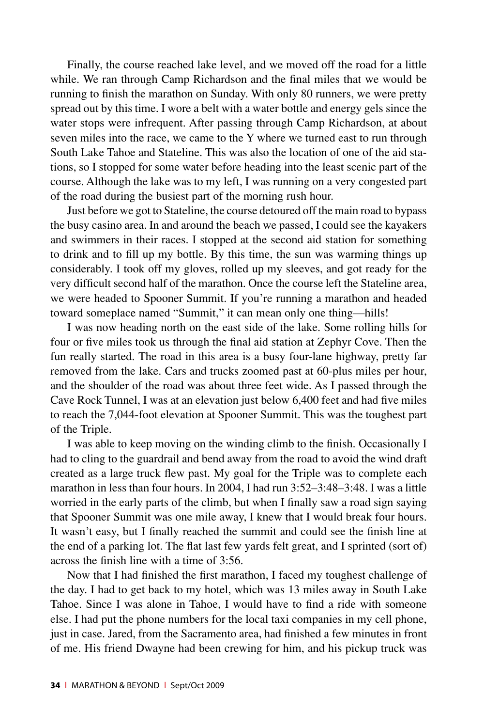Finally, the course reached lake level, and we moved off the road for a little while. We ran through Camp Richardson and the final miles that we would be running to finish the marathon on Sunday. With only 80 runners, we were pretty spread out by this time. I wore a belt with a water bottle and energy gels since the water stops were infrequent. After passing through Camp Richardson, at about seven miles into the race, we came to the Y where we turned east to run through South Lake Tahoe and Stateline. This was also the location of one of the aid stations, so I stopped for some water before heading into the least scenic part of the course. Although the lake was to my left, I was running on a very congested part of the road during the busiest part of the morning rush hour.

Just before we got to Stateline, the course detoured off the main road to bypass the busy casino area. In and around the beach we passed, I could see the kayakers and swimmers in their races. I stopped at the second aid station for something to drink and to fill up my bottle. By this time, the sun was warming things up considerably. I took off my gloves, rolled up my sleeves, and got ready for the very difficult second half of the marathon. Once the course left the Stateline area, we were headed to Spooner Summit. If you're running a marathon and headed toward someplace named "Summit," it can mean only one thing—hills!

I was now heading north on the east side of the lake. Some rolling hills for four or five miles took us through the final aid station at Zephyr Cove. Then the fun really started. The road in this area is a busy four-lane highway, pretty far removed from the lake. Cars and trucks zoomed past at 60-plus miles per hour, and the shoulder of the road was about three feet wide. As I passed through the Cave Rock Tunnel, I was at an elevation just below 6,400 feet and had five miles to reach the 7,044-foot elevation at Spooner Summit. This was the toughest part of the Triple.

I was able to keep moving on the winding climb to the finish. Occasionally I had to cling to the guardrail and bend away from the road to avoid the wind draft created as a large truck flew past. My goal for the Triple was to complete each marathon in less than four hours. In 2004, I had run 3:52–3:48–3:48. I was a little worried in the early parts of the climb, but when I finally saw a road sign saying that Spooner Summit was one mile away, I knew that I would break four hours. It wasn't easy, but I finally reached the summit and could see the finish line at the end of a parking lot. The flat last few yards felt great, and I sprinted (sort of) across the finish line with a time of 3:56.

Now that I had finished the first marathon, I faced my toughest challenge of the day. I had to get back to my hotel, which was 13 miles away in South Lake Tahoe. Since I was alone in Tahoe, I would have to find a ride with someone else. I had put the phone numbers for the local taxi companies in my cell phone, just in case. Jared, from the Sacramento area, had finished a few minutes in front of me. His friend Dwayne had been crewing for him, and his pickup truck was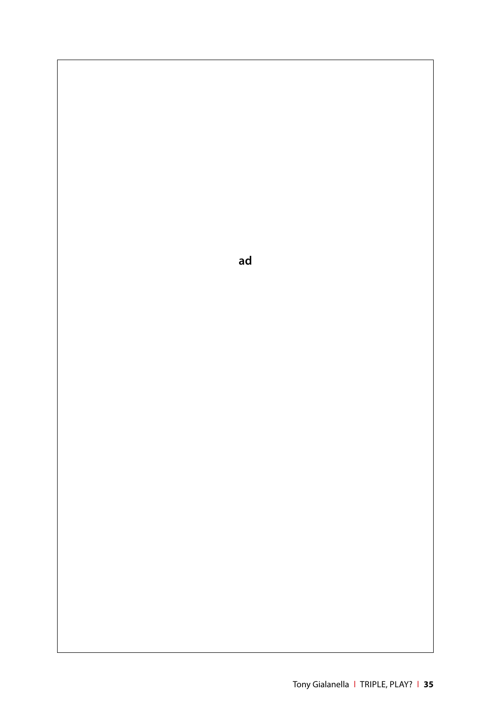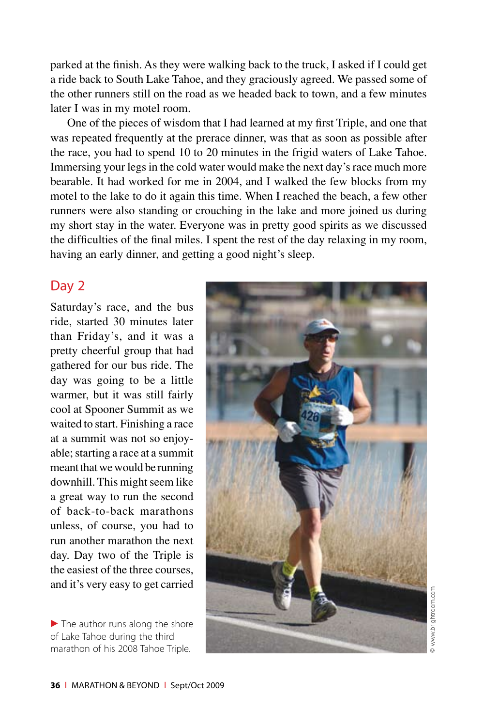parked at the finish. As they were walking back to the truck, I asked if I could get a ride back to South Lake Tahoe, and they graciously agreed. We passed some of the other runners still on the road as we headed back to town, and a few minutes later I was in my motel room.

One of the pieces of wisdom that I had learned at my first Triple, and one that was repeated frequently at the prerace dinner, was that as soon as possible after the race, you had to spend 10 to 20 minutes in the frigid waters of Lake Tahoe. Immersing your legs in the cold water would make the next day's race much more bearable. It had worked for me in 2004, and I walked the few blocks from my motel to the lake to do it again this time. When I reached the beach, a few other runners were also standing or crouching in the lake and more joined us during my short stay in the water. Everyone was in pretty good spirits as we discussed the difficulties of the final miles. I spent the rest of the day relaxing in my room, having an early dinner, and getting a good night's sleep.

#### Day 2

Saturday's race, and the bus ride, started 30 minutes later than Friday's, and it was a pretty cheerful group that had gathered for our bus ride. The day was going to be a little warmer, but it was still fairly cool at Spooner Summit as we waited to start. Finishing a race at a summit was not so enjoyable; starting a race at a summit meant that we would be running downhill. This might seem like a great way to run the second of back-to-back marathons unless, of course, you had to run another marathon the next day. Day two of the Triple is the easiest of the three courses, and it's very easy to get carried

 $\blacktriangleright$  The author runs along the shore of Lake Tahoe during the third marathon of his 2008 Tahoe Triple.

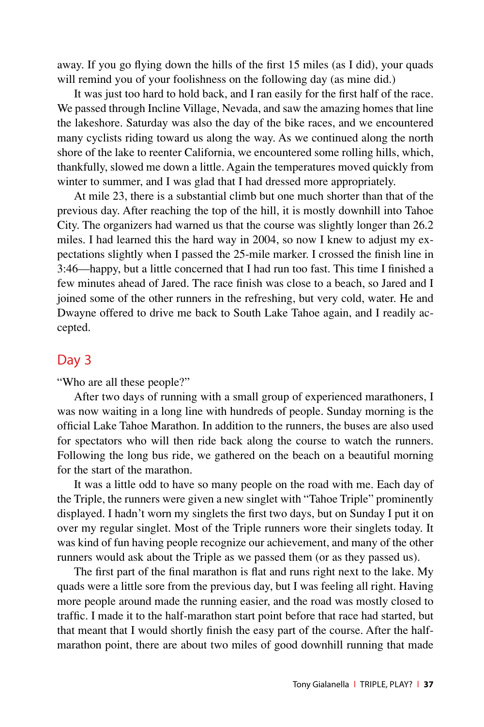away. If you go flying down the hills of the first 15 miles (as I did), your quads will remind you of your foolishness on the following day (as mine did.)

It was just too hard to hold back, and I ran easily for the first half of the race. We passed through Incline Village, Nevada, and saw the amazing homes that line the lakeshore. Saturday was also the day of the bike races, and we encountered many cyclists riding toward us along the way. As we continued along the north shore of the lake to reenter California, we encountered some rolling hills, which, thankfully, slowed me down a little. Again the temperatures moved quickly from winter to summer, and I was glad that I had dressed more appropriately.

At mile 23, there is a substantial climb but one much shorter than that of the previous day. After reaching the top of the hill, it is mostly downhill into Tahoe City. The organizers had warned us that the course was slightly longer than 26.2 miles. I had learned this the hard way in 2004, so now I knew to adjust my expectations slightly when I passed the 25-mile marker. I crossed the finish line in 3:46—happy, but a little concerned that I had run too fast. This time I finished a few minutes ahead of Jared. The race finish was close to a beach, so Jared and I joined some of the other runners in the refreshing, but very cold, water. He and Dwayne offered to drive me back to South Lake Tahoe again, and I readily accepted.

# Day 3

"Who are all these people?"

After two days of running with a small group of experienced marathoners, I was now waiting in a long line with hundreds of people. Sunday morning is the official Lake Tahoe Marathon. In addition to the runners, the buses are also used for spectators who will then ride back along the course to watch the runners. Following the long bus ride, we gathered on the beach on a beautiful morning for the start of the marathon.

It was a little odd to have so many people on the road with me. Each day of the Triple, the runners were given a new singlet with "Tahoe Triple" prominently displayed. I hadn't worn my singlets the first two days, but on Sunday I put it on over my regular singlet. Most of the Triple runners wore their singlets today. It was kind of fun having people recognize our achievement, and many of the other runners would ask about the Triple as we passed them (or as they passed us).

The first part of the final marathon is flat and runs right next to the lake. My quads were a little sore from the previous day, but I was feeling all right. Having more people around made the running easier, and the road was mostly closed to traffic. I made it to the half-marathon start point before that race had started, but that meant that I would shortly finish the easy part of the course. After the halfmarathon point, there are about two miles of good downhill running that made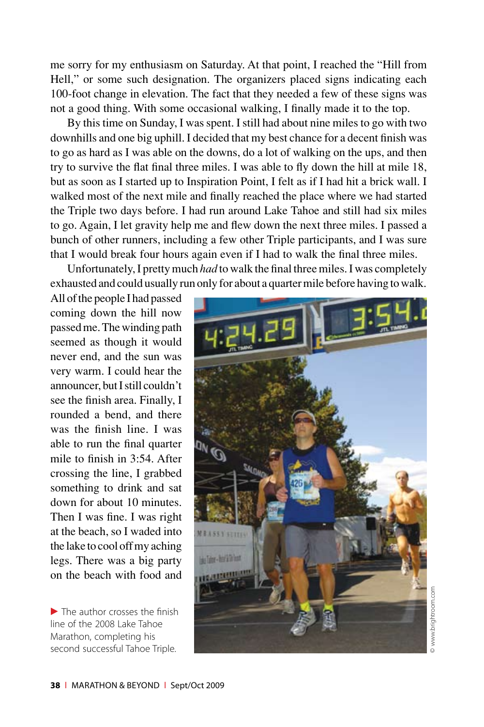me sorry for my enthusiasm on Saturday. At that point, I reached the "Hill from Hell," or some such designation. The organizers placed signs indicating each 100-foot change in elevation. The fact that they needed a few of these signs was not a good thing. With some occasional walking, I finally made it to the top.

By this time on Sunday, I was spent. I still had about nine miles to go with two downhills and one big uphill. I decided that my best chance for a decent finish was to go as hard as I was able on the downs, do a lot of walking on the ups, and then try to survive the flat final three miles. I was able to fly down the hill at mile 18, but as soon as I started up to Inspiration Point, I felt as if I had hit a brick wall. I walked most of the next mile and finally reached the place where we had started the Triple two days before. I had run around Lake Tahoe and still had six miles to go. Again, I let gravity help me and flew down the next three miles. I passed a bunch of other runners, including a few other Triple participants, and I was sure that I would break four hours again even if I had to walk the final three miles.

Unfortunately, I pretty much *had* to walk the final three miles. I was completely exhausted and could usually run only for about a quarter mile before having to walk.

All of the people I had passed coming down the hill now passed me. The winding path seemed as though it would never end, and the sun was very warm. I could hear the announcer, but I still couldn't see the finish area. Finally, I rounded a bend, and there was the finish line. I was able to run the final quarter mile to finish in 3:54. After crossing the line, I grabbed something to drink and sat down for about 10 minutes. Then I was fine. I was right at the beach, so I waded into the lake to cool off my aching legs. There was a big party on the beach with food and

 $\blacktriangleright$  The author crosses the finish line of the 2008 Lake Tahoe Marathon, completing his second successful Tahoe Triple.